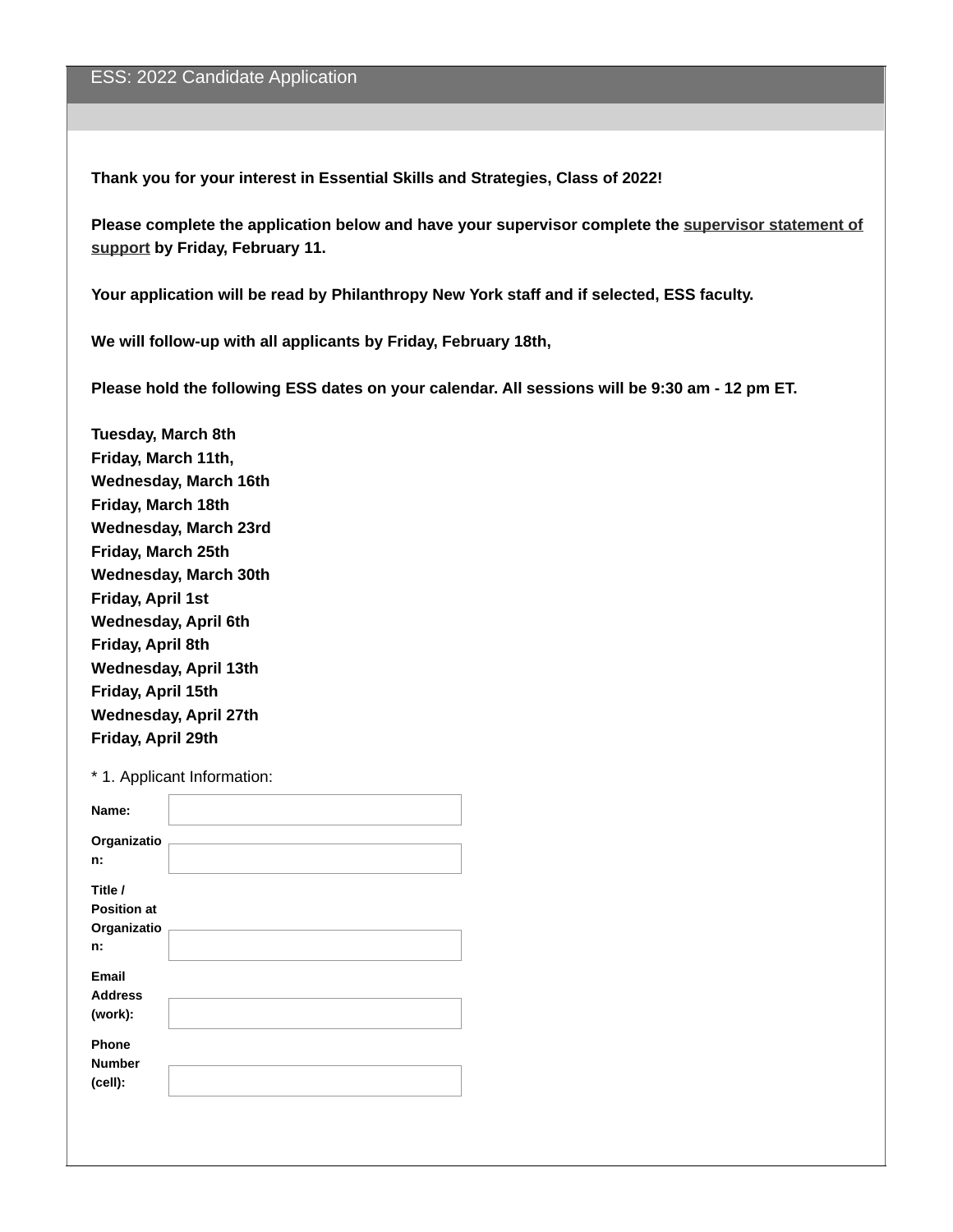**Thank you for your interest in Essential Skills and Strategies, Class of 2022!**

**Please complete the [application](https://www.surveymonkey.com/r/TQGCD9J) below and have your supervisor complete the supervisor statement of support by Friday, February 11.**

**Your application will be read by Philanthropy New York staff and if selected, ESS faculty.**

**We will follow-up with all applicants by Friday, February 18th,**

**Please hold the following ESS dates on your calendar. All sessions will be 9:30 am -12 pm ET.**

**Tuesday, March 8th Friday, March 11th, Wednesday, March 16th Friday, March 18th Wednesday, March 23rd Friday, March 25th Wednesday, March 30th Friday, April 1st Wednesday, April 6th Friday, April 8th Wednesday, April 13th Friday, April 15th Wednesday, April 27th Friday, April 29th**

\* 1. Applicant Information:

| Name:                                              |  |
|----------------------------------------------------|--|
| Organizatio<br>n:                                  |  |
| Title /<br><b>Position at</b><br>Organizatio<br>n: |  |
| Email<br><b>Address</b><br>(work):                 |  |
| Phone<br><b>Number</b><br>(cell):                  |  |
|                                                    |  |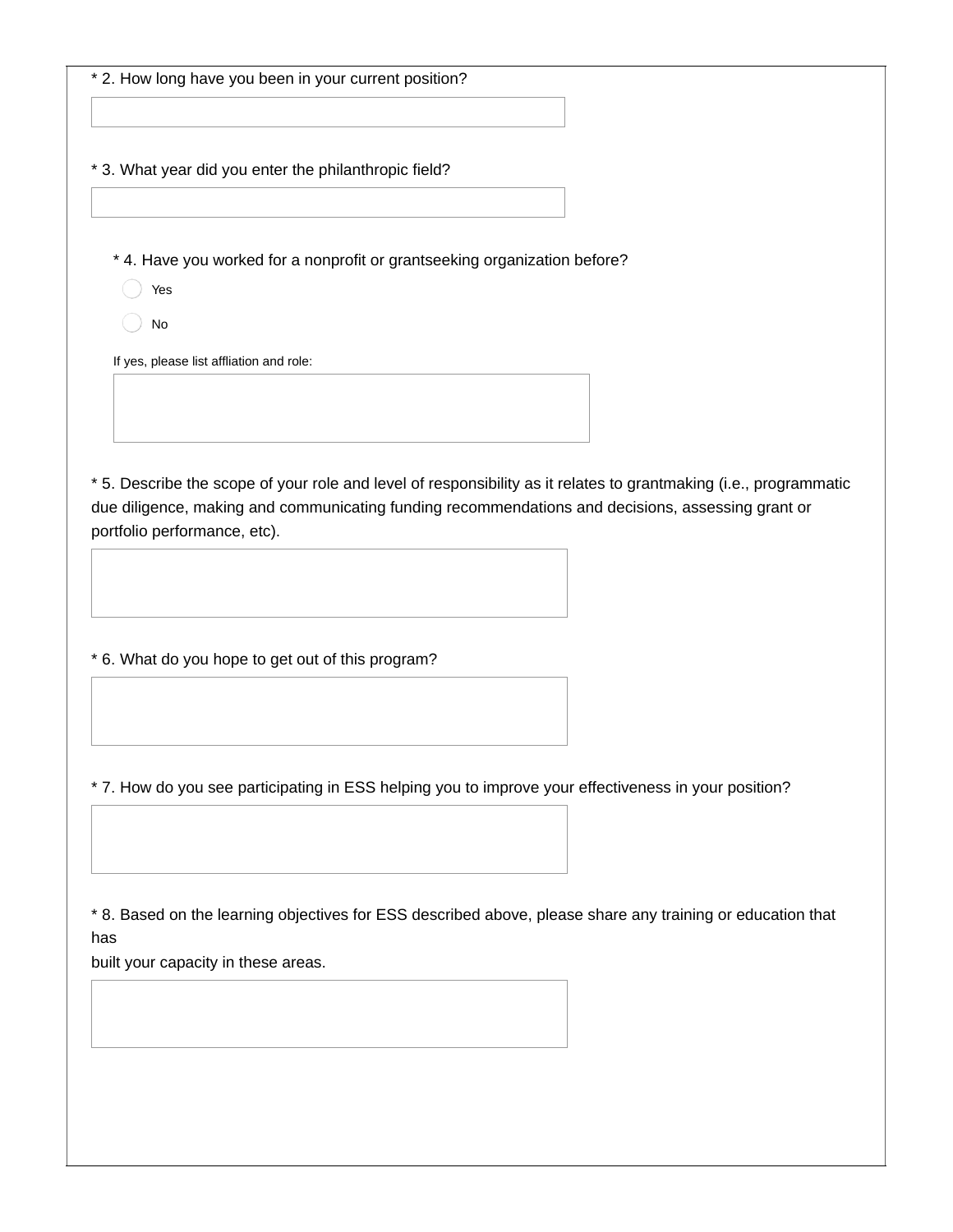\* 2. How long have you been in your current position?

\* 3. What year did you enter the philanthropic field?

\* 4. Have you worked for a nonprofit or grantseeking organization before?

- Yes
- No

If yes, please list affliation and role:

\* 5. Describe the scope of your role and level of responsibility as it relates to grantmaking (i.e., programmatic due diligence, making and communicating funding recommendations and decisions, assessing grant or portfolio performance, etc).

\* 6. What do you hope to get out of this program?

\* 7. How do you see participating in ESS helping you to improve your effectiveness in your position?

\* 8. Based on the learning objectives for ESS described above, please share any training or education that has

built your capacity in these areas.